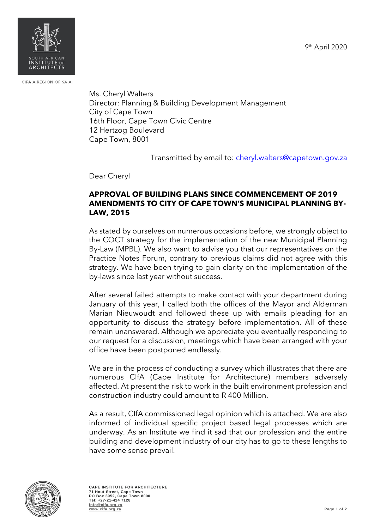9<sup>th</sup> April 2020



CIFA A REGION OF SAIA

Ms. Cheryl Walters Director: Planning & Building Development Management City of Cape Town 16th Floor, Cape Town Civic Centre 12 Hertzog Boulevard Cape Town, 8001

Transmitted by email to: [cheryl.walters@capetown.gov.za](mailto:cheryl.walters@capetown.gov.za)

Dear Cheryl

## **APPROVAL OF BUILDING PLANS SINCE COMMENCEMENT OF 2019 AMENDMENTS TO CITY OF CAPE TOWN'S MUNICIPAL PLANNING BY-LAW, 2015**

As stated by ourselves on numerous occasions before, we strongly object to the COCT strategy for the implementation of the new Municipal Planning By-Law (MPBL). We also want to advise you that our representatives on the Practice Notes Forum, contrary to previous claims did not agree with this strategy. We have been trying to gain clarity on the implementation of the by-laws since last year without success.

After several failed attempts to make contact with your department during January of this year, I called both the offices of the Mayor and Alderman Marian Nieuwoudt and followed these up with emails pleading for an opportunity to discuss the strategy before implementation. All of these remain unanswered. Although we appreciate you eventually responding to our request for a discussion, meetings which have been arranged with your office have been postponed endlessly.

We are in the process of conducting a survey which illustrates that there are numerous CIfA (Cape Institute for Architecture) members adversely affected. At present the risk to work in the built environment profession and construction industry could amount to R 400 Million.

As a result, CIfA commissioned legal opinion which is attached. We are also informed of individual specific project based legal processes which are underway. As an Institute we find it sad that our profession and the entire building and development industry of our city has to go to these lengths to have some sense prevail.